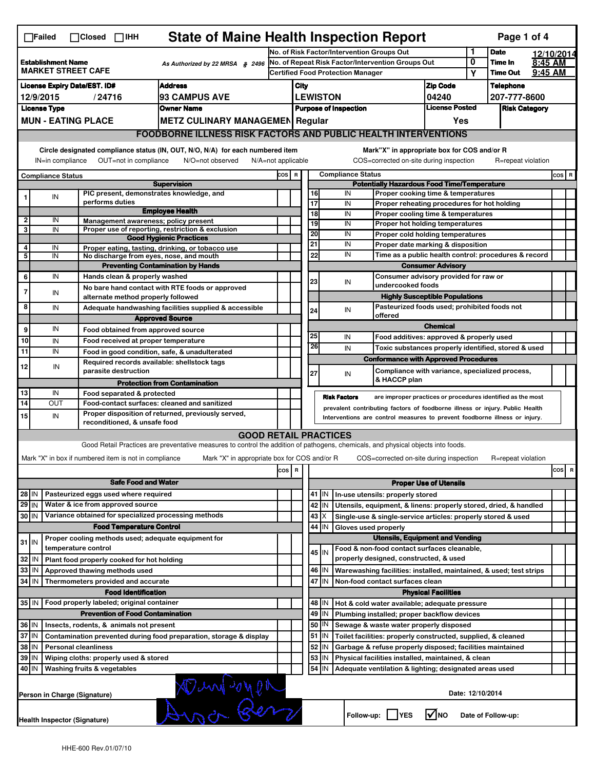| <b>State of Maine Health Inspection Report</b><br>Page 1 of 4<br>$\Box$ Failed<br>$\Box$ Closed<br>$\Box$ IHH                                                             |                                                                                           |                                                       |                                                                                                                                   |        |                                                        |                                                                                                                                                            |                                                   |                                                                                        |                                                                                                 |                 |                     |                      |            |         |                         |  |
|---------------------------------------------------------------------------------------------------------------------------------------------------------------------------|-------------------------------------------------------------------------------------------|-------------------------------------------------------|-----------------------------------------------------------------------------------------------------------------------------------|--------|--------------------------------------------------------|------------------------------------------------------------------------------------------------------------------------------------------------------------|---------------------------------------------------|----------------------------------------------------------------------------------------|-------------------------------------------------------------------------------------------------|-----------------|---------------------|----------------------|------------|---------|-------------------------|--|
|                                                                                                                                                                           |                                                                                           |                                                       |                                                                                                                                   |        | 1<br>No. of Risk Factor/Intervention Groups Out        |                                                                                                                                                            |                                                   |                                                                                        |                                                                                                 |                 |                     | <b>Date</b>          | 12/10/2014 |         |                         |  |
| <b>Establishment Name</b><br>As Authorized by 22 MRSA § 2496<br><b>MARKET STREET CAFE</b>                                                                                 |                                                                                           |                                                       |                                                                                                                                   |        | 0<br>No. of Repeat Risk Factor/Intervention Groups Out |                                                                                                                                                            |                                                   |                                                                                        |                                                                                                 | Υ               | Time In<br>Time Out | 8:45 AM<br>9:45 AM   |            |         |                         |  |
| <b>Address</b><br><b>License Expiry Date/EST. ID#</b>                                                                                                                     |                                                                                           |                                                       |                                                                                                                                   |        | <b>Certified Food Protection Manager</b>               |                                                                                                                                                            |                                                   |                                                                                        |                                                                                                 |                 | Telephone           |                      |            |         |                         |  |
| <b>93 CAMPUS AVE</b><br>12/9/2015<br>/24716                                                                                                                               |                                                                                           |                                                       |                                                                                                                                   |        | <b>Zip Code</b><br>City<br>04240<br><b>LEWISTON</b>    |                                                                                                                                                            |                                                   |                                                                                        |                                                                                                 |                 | 207-777-8600        |                      |            |         |                         |  |
| <b>Owner Name</b><br><b>License Type</b>                                                                                                                                  |                                                                                           |                                                       |                                                                                                                                   |        |                                                        | <b>License Posted</b><br><b>Purpose of Inspection</b>                                                                                                      |                                                   |                                                                                        |                                                                                                 |                 |                     | <b>Risk Category</b> |            |         |                         |  |
|                                                                                                                                                                           |                                                                                           | <b>MUN - EATING PLACE</b>                             | <b>METZ CULINARY MANAGEMEN Regular</b>                                                                                            |        |                                                        | Yes                                                                                                                                                        |                                                   |                                                                                        |                                                                                                 |                 |                     |                      |            |         |                         |  |
|                                                                                                                                                                           | <b>FOODBORNE ILLNESS RISK FACTORS AND PUBLIC HEALTH INTERVENTIONS</b>                     |                                                       |                                                                                                                                   |        |                                                        |                                                                                                                                                            |                                                   |                                                                                        |                                                                                                 |                 |                     |                      |            |         |                         |  |
| Circle designated compliance status (IN, OUT, N/O, N/A) for each numbered item<br>OUT=not in compliance<br>IN=in compliance<br>N/O=not observed<br>$N/A = not$ applicable |                                                                                           |                                                       |                                                                                                                                   |        |                                                        |                                                                                                                                                            |                                                   | Mark"X" in appropriate box for COS and/or R<br>COS=corrected on-site during inspection |                                                                                                 |                 | R=repeat violation  |                      |            |         |                         |  |
| <b>Compliance Status</b>                                                                                                                                                  |                                                                                           |                                                       |                                                                                                                                   |        | COS R                                                  | <b>Compliance Status</b>                                                                                                                                   |                                                   |                                                                                        |                                                                                                 |                 |                     |                      |            | $cos$ R |                         |  |
|                                                                                                                                                                           |                                                                                           |                                                       | <b>Supervision</b>                                                                                                                |        |                                                        | <b>Potentially Hazardous Food Time/Temperature</b>                                                                                                         |                                                   |                                                                                        |                                                                                                 |                 |                     |                      |            |         |                         |  |
| 1                                                                                                                                                                         | IN                                                                                        | performs duties                                       | PIC present, demonstrates knowledge, and                                                                                          |        |                                                        |                                                                                                                                                            | 16<br>17                                          | IN<br>IN                                                                               | Proper cooking time & temperatures<br>Proper reheating procedures for hot holding               |                 |                     |                      |            |         |                         |  |
|                                                                                                                                                                           |                                                                                           |                                                       | <b>Employee Health</b>                                                                                                            |        |                                                        |                                                                                                                                                            | $\overline{18}$                                   | IN                                                                                     | Proper cooling time & temperatures                                                              |                 |                     |                      |            |         |                         |  |
| $\overline{2}$<br>3                                                                                                                                                       | IN<br>IN                                                                                  |                                                       | Management awareness; policy present<br>Proper use of reporting, restriction & exclusion                                          |        |                                                        |                                                                                                                                                            | 19                                                | IN                                                                                     | Proper hot holding temperatures                                                                 |                 |                     |                      |            |         |                         |  |
|                                                                                                                                                                           |                                                                                           |                                                       | <b>Good Hygienic Practices</b>                                                                                                    |        |                                                        |                                                                                                                                                            | 20                                                | IN                                                                                     | Proper cold holding temperatures                                                                |                 |                     |                      |            |         |                         |  |
| 4                                                                                                                                                                         | IN                                                                                        |                                                       | Proper eating, tasting, drinking, or tobacco use                                                                                  |        |                                                        |                                                                                                                                                            | 21                                                | IN                                                                                     | Proper date marking & disposition                                                               |                 |                     |                      |            |         |                         |  |
| 5                                                                                                                                                                         | IN                                                                                        |                                                       | No discharge from eyes, nose, and mouth                                                                                           |        |                                                        |                                                                                                                                                            | 22                                                |                                                                                        | IN<br>Time as a public health control: procedures & record                                      |                 |                     |                      |            |         |                         |  |
| 6                                                                                                                                                                         | IN                                                                                        |                                                       | <b>Preventing Contamination by Hands</b><br>Hands clean & properly washed                                                         |        |                                                        |                                                                                                                                                            |                                                   |                                                                                        | <b>Consumer Advisory</b><br>Consumer advisory provided for raw or                               |                 |                     |                      |            |         |                         |  |
|                                                                                                                                                                           |                                                                                           |                                                       | No bare hand contact with RTE foods or approved                                                                                   |        |                                                        |                                                                                                                                                            | 23                                                | IN                                                                                     | undercooked foods                                                                               |                 |                     |                      |            |         |                         |  |
| $\overline{7}$                                                                                                                                                            | IN                                                                                        |                                                       | alternate method properly followed                                                                                                |        |                                                        |                                                                                                                                                            |                                                   |                                                                                        | <b>Highly Susceptible Populations</b>                                                           |                 |                     |                      |            |         |                         |  |
| 8                                                                                                                                                                         | IN                                                                                        |                                                       | Adequate handwashing facilities supplied & accessible                                                                             |        |                                                        |                                                                                                                                                            | 24                                                | IN                                                                                     | Pasteurized foods used; prohibited foods not                                                    |                 |                     |                      |            |         |                         |  |
|                                                                                                                                                                           |                                                                                           |                                                       | <b>Approved Source</b>                                                                                                            |        |                                                        |                                                                                                                                                            |                                                   |                                                                                        | offered                                                                                         |                 |                     |                      |            |         |                         |  |
| 9                                                                                                                                                                         | IN                                                                                        |                                                       | Food obtained from approved source                                                                                                |        |                                                        |                                                                                                                                                            | 25                                                | IN                                                                                     |                                                                                                 | <b>Chemical</b> |                     |                      |            |         |                         |  |
| 10                                                                                                                                                                        | IN                                                                                        |                                                       | Food received at proper temperature                                                                                               |        |                                                        |                                                                                                                                                            | 26                                                | IN                                                                                     | Food additives: approved & properly used<br>Toxic substances properly identified, stored & used |                 |                     |                      |            |         |                         |  |
| 11                                                                                                                                                                        | IN                                                                                        |                                                       | Food in good condition, safe, & unadulterated                                                                                     |        |                                                        |                                                                                                                                                            |                                                   |                                                                                        | <b>Conformance with Approved Procedures</b>                                                     |                 |                     |                      |            |         |                         |  |
| 12                                                                                                                                                                        | IN                                                                                        | parasite destruction                                  | Required records available: shellstock tags                                                                                       |        |                                                        |                                                                                                                                                            | 27                                                | IN                                                                                     | Compliance with variance, specialized process,<br>& HACCP plan                                  |                 |                     |                      |            |         |                         |  |
|                                                                                                                                                                           |                                                                                           |                                                       | <b>Protection from Contamination</b>                                                                                              |        |                                                        |                                                                                                                                                            |                                                   |                                                                                        |                                                                                                 |                 |                     |                      |            |         |                         |  |
| 13<br>14                                                                                                                                                                  | IN<br><b>OUT</b>                                                                          | Food separated & protected                            | Food-contact surfaces: cleaned and sanitized                                                                                      |        |                                                        |                                                                                                                                                            |                                                   | <b>Risk Factors</b>                                                                    | are improper practices or procedures identified as the most                                     |                 |                     |                      |            |         |                         |  |
| 15                                                                                                                                                                        | IN                                                                                        |                                                       | Proper disposition of returned, previously served,                                                                                |        |                                                        | prevalent contributing factors of foodborne illness or injury. Public Health<br>Interventions are control measures to prevent foodborne illness or injury. |                                                   |                                                                                        |                                                                                                 |                 |                     |                      |            |         |                         |  |
|                                                                                                                                                                           |                                                                                           | reconditioned, & unsafe food                          |                                                                                                                                   |        |                                                        |                                                                                                                                                            |                                                   |                                                                                        |                                                                                                 |                 |                     |                      |            |         |                         |  |
|                                                                                                                                                                           |                                                                                           |                                                       | <b>GOOD RETAIL PRACTICES</b>                                                                                                      |        |                                                        |                                                                                                                                                            |                                                   |                                                                                        |                                                                                                 |                 |                     |                      |            |         |                         |  |
|                                                                                                                                                                           |                                                                                           |                                                       | Good Retail Practices are preventative measures to control the addition of pathogens, chemicals, and physical objects into foods. |        |                                                        |                                                                                                                                                            |                                                   |                                                                                        |                                                                                                 |                 |                     |                      |            |         |                         |  |
|                                                                                                                                                                           |                                                                                           | Mark "X" in box if numbered item is not in compliance | Mark "X" in appropriate box for COS and/or R                                                                                      |        |                                                        |                                                                                                                                                            |                                                   |                                                                                        | COS=corrected on-site during inspection                                                         |                 |                     | R=repeat violation   |            |         |                         |  |
|                                                                                                                                                                           |                                                                                           |                                                       |                                                                                                                                   | $\cos$ | R                                                      |                                                                                                                                                            |                                                   |                                                                                        |                                                                                                 |                 |                     |                      |            | cos     | $\overline{\mathbf{R}}$ |  |
|                                                                                                                                                                           | <b>Safe Food and Water</b>                                                                |                                                       |                                                                                                                                   |        |                                                        | <b>Proper Use of Utensils</b>                                                                                                                              |                                                   |                                                                                        |                                                                                                 |                 |                     |                      |            |         |                         |  |
| 28 IN                                                                                                                                                                     |                                                                                           | Pasteurized eggs used where required                  |                                                                                                                                   |        |                                                        |                                                                                                                                                            | 41 J IN                                           |                                                                                        | In-use utensils: properly stored                                                                |                 |                     |                      |            |         |                         |  |
| $29$ IN                                                                                                                                                                   |                                                                                           | Water & ice from approved source                      |                                                                                                                                   |        |                                                        |                                                                                                                                                            | 42   IN                                           |                                                                                        | Utensils, equipment, & linens: properly stored, dried, & handled                                |                 |                     |                      |            |         |                         |  |
| 30 IN                                                                                                                                                                     |                                                                                           |                                                       | Variance obtained for specialized processing methods                                                                              |        |                                                        |                                                                                                                                                            | $43 \mid X$                                       |                                                                                        | Single-use & single-service articles: properly stored & used                                    |                 |                     |                      |            |         |                         |  |
|                                                                                                                                                                           |                                                                                           |                                                       | <b>Food Temperature Control</b><br>Proper cooling methods used; adequate equipment for                                            |        |                                                        |                                                                                                                                                            | 44   IN                                           | Gloves used properly                                                                   | <b>Utensils, Equipment and Vending</b>                                                          |                 |                     |                      |            |         |                         |  |
| $31$ IN                                                                                                                                                                   |                                                                                           | temperature control                                   |                                                                                                                                   |        |                                                        |                                                                                                                                                            |                                                   |                                                                                        | Food & non-food contact surfaces cleanable,                                                     |                 |                     |                      |            |         |                         |  |
| 32                                                                                                                                                                        | l IN                                                                                      | Plant food properly cooked for hot holding            |                                                                                                                                   |        |                                                        |                                                                                                                                                            | $45$ IN                                           |                                                                                        | properly designed, constructed, & used                                                          |                 |                     |                      |            |         |                         |  |
| 33                                                                                                                                                                        | IN                                                                                        | Approved thawing methods used                         |                                                                                                                                   |        |                                                        |                                                                                                                                                            | 46 IN                                             |                                                                                        | Warewashing facilities: installed, maintained, & used; test strips                              |                 |                     |                      |            |         |                         |  |
| 34                                                                                                                                                                        | IN                                                                                        | Thermometers provided and accurate                    |                                                                                                                                   |        |                                                        |                                                                                                                                                            | 47<br>İΙN                                         |                                                                                        | Non-food contact surfaces clean                                                                 |                 |                     |                      |            |         |                         |  |
|                                                                                                                                                                           |                                                                                           |                                                       | <b>Food Identification</b>                                                                                                        |        |                                                        | <b>Physical Facilities</b>                                                                                                                                 |                                                   |                                                                                        |                                                                                                 |                 |                     |                      |            |         |                         |  |
|                                                                                                                                                                           |                                                                                           | 35 IN   Food properly labeled; original container     |                                                                                                                                   |        |                                                        |                                                                                                                                                            | 48   IN                                           |                                                                                        | Hot & cold water available; adequate pressure                                                   |                 |                     |                      |            |         |                         |  |
|                                                                                                                                                                           | <b>Prevention of Food Contamination</b>                                                   |                                                       |                                                                                                                                   |        |                                                        |                                                                                                                                                            | 49 IN                                             |                                                                                        | Plumbing installed; proper backflow devices                                                     |                 |                     |                      |            |         |                         |  |
|                                                                                                                                                                           | 36 IN<br>Insects, rodents, & animals not present                                          |                                                       |                                                                                                                                   |        |                                                        |                                                                                                                                                            | 50   IN<br>Sewage & waste water properly disposed |                                                                                        |                                                                                                 |                 |                     |                      |            |         |                         |  |
| 37 IN<br>$51$ $\vert$ IN<br>Contamination prevented during food preparation, storage & display<br>Toilet facilities: properly constructed, supplied, & cleaned            |                                                                                           |                                                       |                                                                                                                                   |        |                                                        |                                                                                                                                                            |                                                   |                                                                                        |                                                                                                 |                 |                     |                      |            |         |                         |  |
| 38 IN<br>52 IN<br><b>Personal cleanliness</b><br>Garbage & refuse properly disposed; facilities maintained<br>53 IN<br>Physical facilities installed, maintained, & clean |                                                                                           |                                                       |                                                                                                                                   |        |                                                        |                                                                                                                                                            |                                                   |                                                                                        |                                                                                                 |                 |                     |                      |            |         |                         |  |
|                                                                                                                                                                           | 39 IN<br>Wiping cloths: properly used & stored<br>40 IN<br>Washing fruits & vegetables    |                                                       |                                                                                                                                   |        |                                                        |                                                                                                                                                            | 54 IN                                             |                                                                                        | Adequate ventilation & lighting; designated areas used                                          |                 |                     |                      |            |         |                         |  |
|                                                                                                                                                                           |                                                                                           |                                                       |                                                                                                                                   |        |                                                        |                                                                                                                                                            |                                                   |                                                                                        |                                                                                                 |                 |                     |                      |            |         |                         |  |
|                                                                                                                                                                           |                                                                                           | Person in Charge (Signature)                          | Aumonen                                                                                                                           |        |                                                        |                                                                                                                                                            |                                                   |                                                                                        |                                                                                                 |                 | Date: 12/10/2014    |                      |            |         |                         |  |
|                                                                                                                                                                           | $\sqrt{ }$ NO<br>Follow-up:     YES<br>Date of Follow-up:<br>Health Inspector (Signature) |                                                       |                                                                                                                                   |        |                                                        |                                                                                                                                                            |                                                   |                                                                                        |                                                                                                 |                 |                     |                      |            |         |                         |  |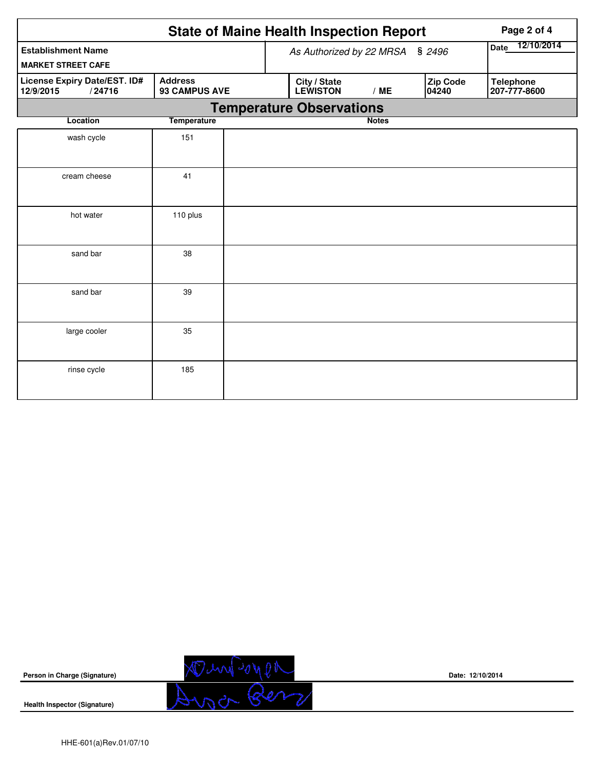|                                                                                        |                    |  | <b>State of Maine Health Inspection Report</b> | Page 2 of 4     |                   |                                  |
|----------------------------------------------------------------------------------------|--------------------|--|------------------------------------------------|-----------------|-------------------|----------------------------------|
| <b>Establishment Name</b><br><b>MARKET STREET CAFE</b>                                 |                    |  | As Authorized by 22 MRSA                       | Date 12/10/2014 |                   |                                  |
| <b>Address</b><br>License Expiry Date/EST. ID#<br>93 CAMPUS AVE<br>12/9/2015<br>/24716 |                    |  | City / State<br><b>LEWISTON</b>                | /ME             | Zip Code<br>04240 | <b>Telephone</b><br>207-777-8600 |
|                                                                                        |                    |  | <b>Temperature Observations</b>                |                 |                   |                                  |
| Location                                                                               | <b>Temperature</b> |  |                                                | <b>Notes</b>    |                   |                                  |
| wash cycle                                                                             | 151                |  |                                                |                 |                   |                                  |
| cream cheese                                                                           | 41                 |  |                                                |                 |                   |                                  |
| hot water                                                                              | 110 plus           |  |                                                |                 |                   |                                  |
| sand bar                                                                               | 38                 |  |                                                |                 |                   |                                  |
| sand bar                                                                               | 39                 |  |                                                |                 |                   |                                  |
| large cooler                                                                           | 35                 |  |                                                |                 |                   |                                  |
| rinse cycle                                                                            | 185                |  |                                                |                 |                   |                                  |



**Date: 12/10/2014**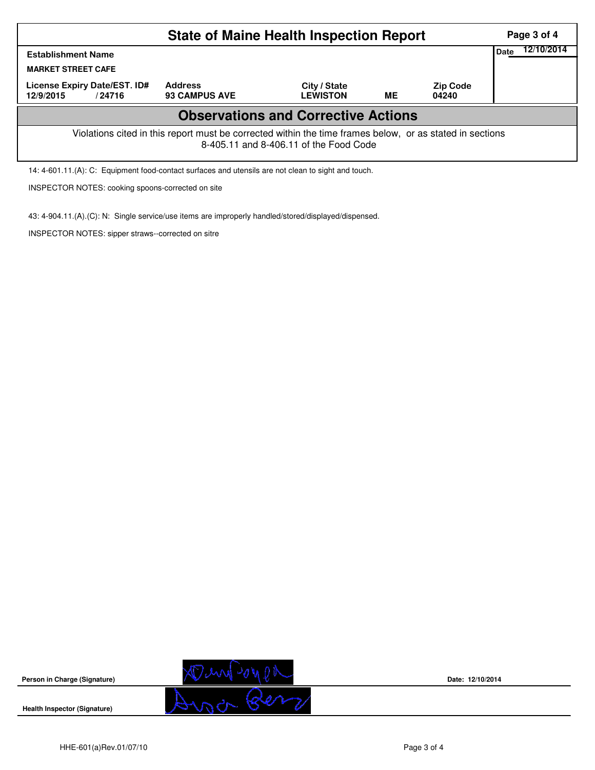|                                                                                                                                                    | Page 3 of 4                            |                                 |    |                          |                    |  |  |  |  |
|----------------------------------------------------------------------------------------------------------------------------------------------------|----------------------------------------|---------------------------------|----|--------------------------|--------------------|--|--|--|--|
| <b>Establishment Name</b><br><b>MARKET STREET CAFE</b>                                                                                             |                                        |                                 |    |                          | 12/10/2014<br>Date |  |  |  |  |
| License Expiry Date/EST. ID#<br>12/9/2015<br>/24716                                                                                                | <b>Address</b><br><b>93 CAMPUS AVE</b> | City / State<br><b>LEWISTON</b> | MЕ | <b>Zip Code</b><br>04240 |                    |  |  |  |  |
| <b>Observations and Corrective Actions</b>                                                                                                         |                                        |                                 |    |                          |                    |  |  |  |  |
| Violations cited in this report must be corrected within the time frames below, or as stated in sections<br>8-405.11 and 8-406.11 of the Food Code |                                        |                                 |    |                          |                    |  |  |  |  |
| 14: 4-601.11.(A): C: Equipment food-contact surfaces and utensils are not clean to sight and touch.                                                |                                        |                                 |    |                          |                    |  |  |  |  |

INSPECTOR NOTES: cooking spoons-corrected on site

43: 4-904.11.(A).(C): N: Single service/use items are improperly handled/stored/displayed/dispensed.

INSPECTOR NOTES: sipper straws--corrected on sitre



**Date: 12/10/2014**